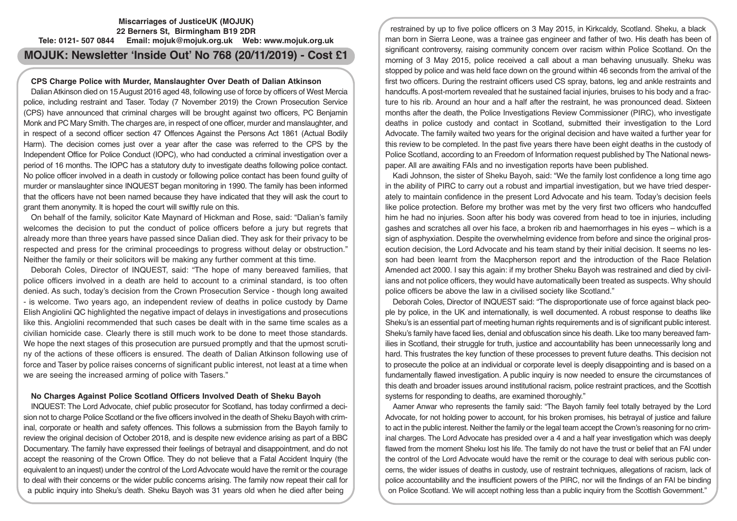# **Miscarriages of JusticeUK (MOJUK) 22 Berners St, Birmingham B19 2DR Tele: 0121- 507 0844 Email: mojuk@mojuk.org.uk Web: www.mojuk.org.uk**

# **MOJUK: Newsletter 'Inside Out' No 768 (20/11/2019) - Cost £1**

# **CPS Charge Police with Murder, Manslaughter Over Death of Dalian Atkinson**

Dalian Atkinson died on 15 August 2016 aged 48, following use of force by officers of West Mercia police, including restraint and Taser. Today (7 November 2019) the Crown Prosecution Service (CPS) have announced that criminal charges will be brought against two officers, PC Benjamin Monk and PC Mary Smith. The charges are, in respect of one officer, murder and manslaughter, and in respect of a second officer section 47 Offences Against the Persons Act 1861 (Actual Bodily Harm). The decision comes just over a year after the case was referred to the CPS by the Independent Office for Police Conduct (IOPC), who had conducted a criminal investigation over a period of 16 months. The IOPC has a statutory duty to investigate deaths following police contact. No police officer involved in a death in custody or following police contact has been found guilty of murder or manslaughter since INQUEST began monitoring in 1990. The family has been informed that the officers have not been named because they have indicated that they will ask the court to grant them anonymity. It is hoped the court will swiftly rule on this.

On behalf of the family, solicitor Kate Maynard of Hickman and Rose, said: "Dalian's family welcomes the decision to put the conduct of police officers before a jury but regrets that already more than three years have passed since Dalian died. They ask for their privacy to be respected and press for the criminal proceedings to progress without delay or obstruction." Neither the family or their solicitors will be making any further comment at this time.

Deborah Coles, Director of INQUEST, said: "The hope of many bereaved families, that police officers involved in a death are held to account to a criminal standard, is too often denied. As such, today's decision from the Crown Prosecution Service - though long awaited - is welcome. Two years ago, an independent review of deaths in police custody by Dame Elish Angiolini QC highlighted the negative impact of delays in investigations and prosecutions like this. Angiolini recommended that such cases be dealt with in the same time scales as a civilian homicide case. Clearly there is still much work to be done to meet those standards. We hope the next stages of this prosecution are pursued promptly and that the upmost scrutiny of the actions of these officers is ensured. The death of Dalian Atkinson following use of force and Taser by police raises concerns of significant public interest, not least at a time when we are seeing the increased arming of police with Tasers."

# **No Charges Against Police Scotland Officers Involved Death of Sheku Bayoh**

INQUEST: The Lord Advocate, chief public prosecutor for Scotland, has today confirmed a decision not to charge Police Scotland or the five officers involved in the death of Sheku Bayoh with criminal, corporate or health and safety offences. This follows a submission from the Bayoh family to review the original decision of October 2018, and is despite new evidence arising as part of a BBC Documentary. The family have expressed their feelings of betrayal and disappointment, and do not accept the reasoning of the Crown Office. They do not believe that a Fatal Accident Inquiry (the equivalent to an inquest) under the control of the Lord Advocate would have the remit or the courage to deal with their concerns or the wider public concerns arising. The family now repeat their call for a public inquiry into Sheku's death. Sheku Bayoh was 31 years old when he died after being

restrained by up to five police officers on 3 May 2015, in Kirkcaldy, Scotland. Sheku, a black man born in Sierra Leone, was a trainee gas engineer and father of two. His death has been of significant controversy, raising community concern over racism within Police Scotland. On the morning of 3 May 2015, police received a call about a man behaving unusually. Sheku was stopped by police and was held face down on the ground within 46 seconds from the arrival of the first two officers. During the restraint officers used CS spray, batons, leg and ankle restraints and handcuffs. A post-mortem revealed that he sustained facial injuries, bruises to his body and a fracture to his rib. Around an hour and a half after the restraint, he was pronounced dead. Sixteen months after the death, the Police Investigations Review Commissioner (PIRC), who investigate deaths in police custody and contact in Scotland, submitted their investigation to the Lord Advocate. The family waited two years for the original decision and have waited a further year for this review to be completed. In the past five years there have been eight deaths in the custody of Police Scotland, according to an Freedom of Information request published by The National newspaper. All are awaiting FAIs and no investigation reports have been published.

Kadi Johnson, the sister of Sheku Bayoh, said: "We the family lost confidence a long time ago in the ability of PIRC to carry out a robust and impartial investigation, but we have tried desperately to maintain confidence in the present Lord Advocate and his team. Today's decision feels like police protection. Before my brother was met by the very first two officers who handcuffed him he had no injuries. Soon after his body was covered from head to toe in injuries, including gashes and scratches all over his face, a broken rib and haemorrhages in his eyes – which is a sign of asphyxiation. Despite the overwhelming evidence from before and since the original prosecution decision, the Lord Advocate and his team stand by their initial decision. It seems no lesson had been learnt from the Macpherson report and the introduction of the Race Relation Amended act 2000. I say this again: if my brother Sheku Bayoh was restrained and died by civilians and not police officers, they would have automatically been treated as suspects. Why should police officers be above the law in a civilised society like Scotland."

Deborah Coles, Director of INQUEST said: "The disproportionate use of force against black people by police, in the UK and internationally, is well documented. A robust response to deaths like Sheku's is an essential part of meeting human rights requirements and is of significant public interest. Sheku's family have faced lies, denial and obfuscation since his death. Like too many bereaved families in Scotland, their struggle for truth, justice and accountability has been unnecessarily long and hard. This frustrates the key function of these processes to prevent future deaths. This decision not to prosecute the police at an individual or corporate level is deeply disappointing and is based on a fundamentally flawed investigation. A public inquiry is now needed to ensure the circumstances of this death and broader issues around institutional racism, police restraint practices, and the Scottish systems for responding to deaths, are examined thoroughly."

Aamer Anwar who represents the family said: "The Bayoh family feel totally betrayed by the Lord Advocate, for not holding power to account, for his broken promises, his betrayal of justice and failure to act in the public interest. Neither the family or the legal team accept the Crown's reasoning for no criminal charges. The Lord Advocate has presided over a 4 and a half year investigation which was deeply flawed from the moment Sheku lost his life. The family do not have the trust or belief that an FAI under the control of the Lord Advocate would have the remit or the courage to deal with serious public concerns, the wider issues of deaths in custody, use of restraint techniques, allegations of racism, lack of police accountability and the insufficient powers of the PIRC, nor will the findings of an FAI be binding on Police Scotland. We will accept nothing less than a public inquiry from the Scottish Government."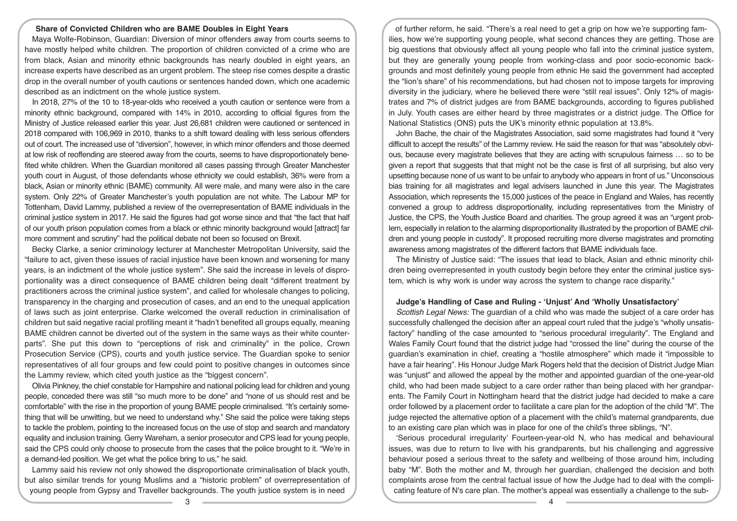## **Share of Convicted Children who are BAME Doubles in Eight Years**

Maya Wolfe-Robinson, Guardian: Diversion of minor offenders away from courts seems to have mostly helped white children. The proportion of children convicted of a crime who are from black, Asian and minority ethnic backgrounds has nearly doubled in eight years, an increase experts have described as an urgent problem. The steep rise comes despite a drastic drop in the overall number of youth cautions or sentences handed down, which one academic described as an indictment on the whole justice system.

In 2018, 27% of the 10 to 18-year-olds who received a youth caution or sentence were from a minority ethnic background, compared with 14% in 2010, according to official figures from the Ministry of Justice released earlier this year. Just 26,681 children were cautioned or sentenced in 2018 compared with 106,969 in 2010, thanks to a shift toward dealing with less serious offenders out of court. The increased use of "diversion", however, in which minor offenders and those deemed at low risk of reoffending are steered away from the courts, seems to have disproportionately benefited white children. When the Guardian monitored all cases passing through Greater Manchester youth court in August, of those defendants whose ethnicity we could establish, 36% were from a black, Asian or minority ethnic (BAME) community. All were male, and many were also in the care system. Only 22% of Greater Manchester's youth population are not white. The Labour MP for Tottenham, David Lammy, published a review of the overrepresentation of BAME individuals in the criminal justice system in 2017. He said the figures had got worse since and that "the fact that half of our youth prison population comes from a black or ethnic minority background would [attract] far more comment and scrutiny" had the political debate not been so focused on Brexit.

Becky Clarke, a senior criminology lecturer at Manchester Metropolitan University, said the "failure to act, given these issues of racial injustice have been known and worsening for many years, is an indictment of the whole justice system". She said the increase in levels of disproportionality was a direct consequence of BAME children being dealt "different treatment by practitioners across the criminal justice system", and called for wholesale changes to policing, transparency in the charging and prosecution of cases, and an end to the unequal application of laws such as joint enterprise. Clarke welcomed the overall reduction in criminalisation of children but said negative racial profiling meant it "hadn't benefited all groups equally, meaning BAME children cannot be diverted out of the system in the same ways as their white counterparts". She put this down to "perceptions of risk and criminality" in the police, Crown Prosecution Service (CPS), courts and youth justice service. The Guardian spoke to senior representatives of all four groups and few could point to positive changes in outcomes since the Lammy review, which cited youth justice as the "biggest concern".

Olivia Pinkney, the chief constable for Hampshire and national policing lead for children and young people, conceded there was still "so much more to be done" and "none of us should rest and be comfortable" with the rise in the proportion of young BAME people criminalised. "It's certainly something that will be unwitting, but we need to understand why." She said the police were taking steps to tackle the problem, pointing to the increased focus on the use of stop and search and mandatory equality and inclusion training. Gerry Wareham, a senior prosecutor and CPS lead for young people, said the CPS could only choose to prosecute from the cases that the police brought to it. "We're in a demand-led position. We get what the police bring to us," he said.

Lammy said his review not only showed the disproportionate criminalisation of black youth, but also similar trends for young Muslims and a "historic problem" of overrepresentation of young people from Gypsy and Traveller backgrounds. The youth justice system is in need

of further reform, he said. "There's a real need to get a grip on how we're supporting families, how we're supporting young people, what second chances they are getting. Those are big questions that obviously affect all young people who fall into the criminal justice system, but they are generally young people from working-class and poor socio-economic backgrounds and most definitely young people from ethnic He said the government had accepted the "lion's share" of his recommendations, but had chosen not to impose targets for improving diversity in the judiciary, where he believed there were "still real issues". Only 12% of magistrates and 7% of district judges are from BAME backgrounds, according to figures published in July. Youth cases are either heard by three magistrates or a district judge. The Office for National Statistics (ONS) puts the UK's minority ethnic population at 13.8%.

John Bache, the chair of the Magistrates Association, said some magistrates had found it "very difficult to accept the results" of the Lammy review. He said the reason for that was "absolutely obvious, because every magistrate believes that they are acting with scrupulous fairness … so to be given a report that suggests that that might not be the case is first of all surprising, but also very upsetting because none of us want to be unfair to anybody who appears in front of us." Unconscious bias training for all magistrates and legal advisers launched in June this year. The Magistrates Association, which represents the 15,000 justices of the peace in England and Wales, has recently convened a group to address disproportionality, including representatives from the Ministry of Justice, the CPS, the Youth Justice Board and charities. The group agreed it was an "urgent problem, especially in relation to the alarming disproportionality illustrated by the proportion of BAME children and young people in custody". It proposed recruiting more diverse magistrates and promoting awareness among magistrates of the different factors that BAME individuals face.

The Ministry of Justice said: "The issues that lead to black, Asian and ethnic minority children being overrepresented in youth custody begin before they enter the criminal justice system, which is why work is under way across the system to change race disparity."

#### **Judge's Handling of Case and Ruling - 'Unjust' And 'Wholly Unsatisfactory'**

Scottish Legal News: The quardian of a child who was made the subject of a care order has successfully challenged the decision after an appeal court ruled that the judge's "wholly unsatisfactory" handling of the case amounted to "serious procedural irregularity". The England and Wales Family Court found that the district judge had "crossed the line" during the course of the guardian's examination in chief, creating a "hostile atmosphere" which made it "impossible to have a fair hearing". His Honour Judge Mark Rogers held that the decision of District Judge Mian was "unjust" and allowed the appeal by the mother and appointed guardian of the one-year-old child, who had been made subject to a care order rather than being placed with her grandparents. The Family Court in Nottingham heard that the district judge had decided to make a care order followed by a placement order to facilitate a care plan for the adoption of the child "M". The judge rejected the alternative option of a placement with the child's maternal grandparents, due to an existing care plan which was in place for one of the child's three siblings, "N".

'Serious procedural irregularity' Fourteen-year-old N, who has medical and behavioural issues, was due to return to live with his grandparents, but his challenging and aggressive behaviour posed a serious threat to the safety and wellbeing of those around him, including baby "M". Both the mother and M, through her guardian, challenged the decision and both complaints arose from the central factual issue of how the Judge had to deal with the complicating feature of N's care plan. The mother's appeal was essentially a challenge to the sub-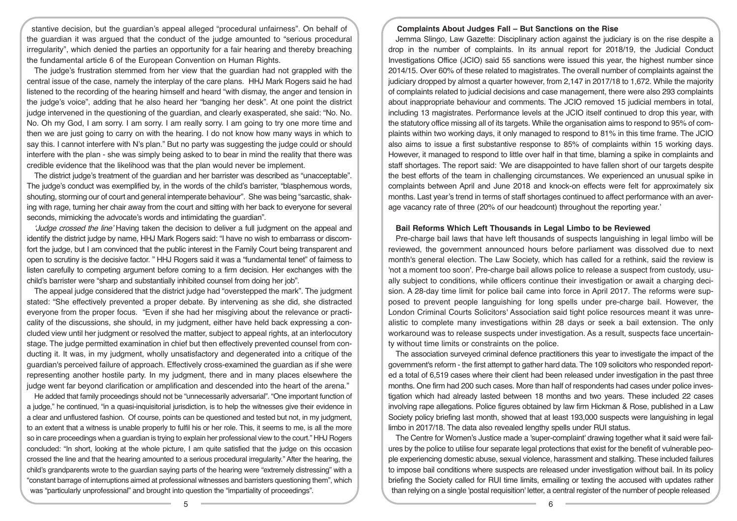stantive decision, but the guardian's appeal alleged "procedural unfairness". On behalf of the guardian it was argued that the conduct of the judge amounted to "serious procedural irregularity", which denied the parties an opportunity for a fair hearing and thereby breaching the fundamental article 6 of the European Convention on Human Rights.

The judge's frustration stemmed from her view that the guardian had not grappled with the central issue of the case, namely the interplay of the care plans. HHJ Mark Rogers said he had listened to the recording of the hearing himself and heard "with dismay, the anger and tension in the judge's voice", adding that he also heard her "banging her desk". At one point the district judge intervened in the questioning of the guardian, and clearly exasperated, she said: "No. No. No. Oh my God, I am sorry. I am sorry. I am really sorry. I am going to try one more time and then we are just going to carry on with the hearing. I do not know how many ways in which to say this. I cannot interfere with N's plan." But no party was suggesting the judge could or should interfere with the plan - she was simply being asked to to bear in mind the reality that there was credible evidence that the likelihood was that the plan would never be implement.

The district judge's treatment of the guardian and her barrister was described as "unacceptable". The judge's conduct was exemplified by, in the words of the child's barrister, "blasphemous words, shouting, storming our of court and general intemperate behaviour". She was being "sarcastic, shaking with rage, turning her chair away from the court and sitting with her back to everyone for several seconds, mimicking the advocate's words and intimidating the guardian".

'Judge crossed the line' Having taken the decision to deliver a full judgment on the appeal and identify the district judge by name, HHJ Mark Rogers said: "I have no wish to embarrass or discomfort the judge, but I am convinced that the public interest in the Family Court being transparent and open to scrutiny is the decisive factor. " HHJ Rogers said it was a "fundamental tenet" of fairness to listen carefully to competing argument before coming to a firm decision. Her exchanges with the child's barrister were "sharp and substantially inhibited counsel from doing her job".

The appeal judge considered that the district judge had "overstepped the mark". The judgment stated: "She effectively prevented a proper debate. By intervening as she did, she distracted everyone from the proper focus. "Even if she had her misgiving about the relevance or practicality of the discussions, she should, in my judgment, either have held back expressing a concluded view until her judgment or resolved the matter, subject to appeal rights, at an interlocutory stage. The judge permitted examination in chief but then effectively prevented counsel from conducting it. It was, in my judgment, wholly unsatisfactory and degenerated into a critique of the guardian's perceived failure of approach. Effectively cross-examined the guardian as if she were representing another hostile party. In my judgment, there and in many places elsewhere the judge went far beyond clarification or amplification and descended into the heart of the arena."

He added that family proceedings should not be "unnecessarily adversarial". "One important function of a judge," he continued, "in a quasi-inquisitorial jurisdiction, is to help the witnesses give their evidence in a clear and unflustered fashion. Of course, points can be questioned and tested but not, in my judgment, to an extent that a witness is unable properly to fulfil his or her role. This, it seems to me, is all the more so in care proceedings when a guardian is trying to explain her professional view to the court." HHJ Rogers concluded: "In short, looking at the whole picture, I am quite satisfied that the judge on this occasion crossed the line and that the hearing amounted to a serious procedural irregularity." After the hearing, the child's grandparents wrote to the guardian saying parts of the hearing were "extremely distressing" with a "constant barrage of interruptions aimed at professional witnesses and barristers questioning them", which was "particularly unprofessional" and brought into question the "impartiality of proceedings".

### **Complaints About Judges Fall – But Sanctions on the Rise**

Jemma Slingo, Law Gazette: Disciplinary action against the judiciary is on the rise despite a drop in the number of complaints. In its annual report for 2018/19, the Judicial Conduct Investigations Office (JCIO) said 55 sanctions were issued this year, the highest number since 2014/15. Over 60% of these related to magistrates. The overall number of complaints against the judiciary dropped by almost a quarter however, from 2,147 in 2017/18 to 1,672. While the majority of complaints related to judicial decisions and case management, there were also 293 complaints about inappropriate behaviour and comments. The JCIO removed 15 judicial members in total, including 13 magistrates. Performance levels at the JCIO itself continued to drop this year, with the statutory office missing all of its targets. While the organisation aims to respond to 95% of complaints within two working days, it only managed to respond to 81% in this time frame. The JCIO also aims to issue a first substantive response to 85% of complaints within 15 working days. However, it managed to respond to little over half in that time, blaming a spike in complaints and staff shortages. The report said: 'We are disappointed to have fallen short of our targets despite the best efforts of the team in challenging circumstances. We experienced an unusual spike in complaints between April and June 2018 and knock-on effects were felt for approximately six months. Last year's trend in terms of staff shortages continued to affect performance with an average vacancy rate of three (20% of our headcount) throughout the reporting year.'

#### **Bail Reforms Which Left Thousands in Legal Limbo to be Reviewed**

Pre-charge bail laws that have left thousands of suspects languishing in legal limbo will be reviewed, the government announced hours before parliament was dissolved due to next month's general election. The Law Society, which has called for a rethink, said the review is 'not a moment too soon'. Pre-charge bail allows police to release a suspect from custody, usually subject to conditions, while officers continue their investigation or await a charging decision. A 28-day time limit for police bail came into force in April 2017. The reforms were supposed to prevent people languishing for long spells under pre-charge bail. However, the London Criminal Courts Solicitors' Association said tight police resources meant it was unrealistic to complete many investigations within 28 days or seek a bail extension. The only workaround was to release suspects under investigation. As a result, suspects face uncertainty without time limits or constraints on the police.

The association surveyed criminal defence practitioners this year to investigate the impact of the government's reform - the first attempt to gather hard data. The 109 solicitors who responded reported a total of 6,519 cases where their client had been released under investigation in the past three months. One firm had 200 such cases. More than half of respondents had cases under police investigation which had already lasted between 18 months and two years. These included 22 cases involving rape allegations. Police figures obtained by law firm Hickman & Rose, published in a Law Society policy briefing last month, showed that at least 193,000 suspects were languishing in legal limbo in 2017/18. The data also revealed lengthy spells under RUI status.

The Centre for Women's Justice made a 'super-complaint' drawing together what it said were failures by the police to utilise four separate legal protections that exist for the benefit of vulnerable people experiencing domestic abuse, sexual violence, harassment and stalking. These included failures to impose bail conditions where suspects are released under investigation without bail. In its policy briefing the Society called for RUI time limits, emailing or texting the accused with updates rather than relying on a single 'postal requisition' letter, a central register of the number of people released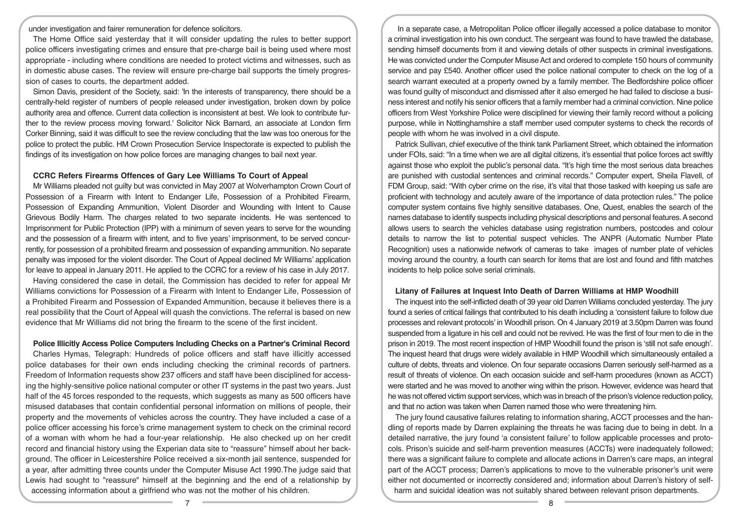under investigation and fairer remuneration for defence solicitors.

The Home Office said yesterday that it will consider updating the rules to better support police officers investigating crimes and ensure that pre-charge bail is being used where most appropriate - including where conditions are needed to protect victims and witnesses, such as in domestic abuse cases. The review will ensure pre-charge bail supports the timely progression of cases to courts, the department added.

Simon Davis, president of the Society, said: 'In the interests of transparency, there should be a centrally-held register of numbers of people released under investigation, broken down by police authority area and offence. Current data collection is inconsistent at best. We look to contribute further to the review process moving forward.' Solicitor Nick Barnard, an associate at London firm Corker Binning, said it was difficult to see the review concluding that the law was too onerous for the police to protect the public. HM Crown Prosecution Service Inspectorate is expected to publish the findings of its investigation on how police forces are managing changes to bail next year.

## **CCRC Refers Firearms Offences of Gary Lee Williams To Court of Appeal**

Mr Williams pleaded not guilty but was convicted in May 2007 at Wolverhampton Crown Court of Possession of a Firearm with Intent to Endanger Life, Possession of a Prohibited Firearm, Possession of Expanding Ammunition, Violent Disorder and Wounding with Intent to Cause Grievous Bodily Harm. The charges related to two separate incidents. He was sentenced to Imprisonment for Public Protection (IPP) with a minimum of seven years to serve for the wounding and the possession of a firearm with intent, and to five years' imprisonment, to be served concurrently, for possession of a prohibited firearm and possession of expanding ammunition. No separate penalty was imposed for the violent disorder. The Court of Appeal declined Mr Williams' application for leave to appeal in January 2011. He applied to the CCRC for a review of his case in July 2017.

Having considered the case in detail, the Commission has decided to refer for appeal Mr Williams convictions for Possession of a Firearm with Intent to Endanger Life, Possession of a Prohibited Firearm and Possession of Expanded Ammunition, because it believes there is a real possibility that the Court of Appeal will quash the convictions. The referral is based on new evidence that Mr Williams did not bring the firearm to the scene of the first incident.

# **Police Illicitly Access Police Computers Including Checks on a Partner's Criminal Record**

Charles Hymas, Telegraph: Hundreds of police officers and staff have illicitly accessed police databases for their own ends including checking the criminal records of partners. Freedom of Information requests show 237 officers and staff have been disciplined for accessing the highly-sensitive police national computer or other IT systems in the past two years. Just half of the 45 forces responded to the requests, which suggests as many as 500 officers have misused databases that contain confidential personal information on millions of people, their property and the movements of vehicles across the country. They have included a case of a police officer accessing his force's crime management system to check on the criminal record of a woman with whom he had a four-year relationship. He also checked up on her credit record and financial history using the Experian data site to "reassure" himself about her background. The officer in Leicestershire Police received a six-month jail sentence, suspended for a year, after admitting three counts under the Computer Misuse Act 1990.The judge said that Lewis had sought to "reassure" himself at the beginning and the end of a relationship by accessing information about a girlfriend who was not the mother of his children.

In a separate case, a Metropolitan Police officer illegally accessed a police database to monitor a criminal investigation into his own conduct. The sergeant was found to have trawled the database, sending himself documents from it and viewing details of other suspects in criminal investigations. He was convicted under the Computer Misuse Act and ordered to complete 150 hours of community service and pay £540. Another officer used the police national computer to check on the log of a search warrant executed at a property owned by a family member. The Bedfordshire police officer was found guilty of misconduct and dismissed after it also emerged he had failed to disclose a business interest and notify his senior officers that a family member had a criminal conviction. Nine police officers from West Yorkshire Police were disciplined for viewing their family record without a policing purpose, while in Nottinghamshire a staff member used computer systems to check the records of people with whom he was involved in a civil dispute.

Patrick Sullivan, chief executive of the think tank Parliament Street, which obtained the information under FOIs, said: "In a time when we are all digital citizens, it's essential that police forces act swiftly against those who exploit the public's personal data. "It's high time the most serious data breaches are punished with custodial sentences and criminal records." Computer expert, Sheila Flavell, of FDM Group, said: "With cyber crime on the rise, it's vital that those tasked with keeping us safe are proficient with technology and acutely aware of the importance of data protection rules." The police computer system contains five highly sensitive databases. One, Quest, enables the search of the names database to identify suspects including physical descriptions and personal features. A second allows users to search the vehicles database using registration numbers, postcodes and colour details to narrow the list to potential suspect vehicles. The ANPR (Automatic Number Plate Recognition) uses a nationwide network of cameras to take images of number plate of vehicles moving around the country, a fourth can search for items that are lost and found and fifth matches incidents to help police solve serial criminals.

# **Litany of Failures at Inquest Into Death of Darren Williams at HMP Woodhill**

The inquest into the self-inflicted death of 39 year old Darren Williams concluded yesterday. The jury found a series of critical failings that contributed to his death including a 'consistent failure to follow due processes and relevant protocols' in Woodhill prison. On 4 January 2019 at 3.50pm Darren was found suspended from a ligature in his cell and could not be revived. He was the first of four men to die in the prison in 2019. The most recent inspection of HMP Woodhill found the prison is 'still not safe enough'. The inquest heard that drugs were widely available in HMP Woodhill which simultaneously entailed a culture of debts, threats and violence. On four separate occasions Darren seriously self-harmed as a result of threats of violence. On each occasion suicide and self-harm procedures (known as ACCT) were started and he was moved to another wing within the prison. However, evidence was heard that he was not offered victim support services, which was in breach of the prison's violence reduction policy, and that no action was taken when Darren named those who were threatening him.

The jury found causative failures relating to information sharing, ACCT processes and the handling of reports made by Darren explaining the threats he was facing due to being in debt. In a detailed narrative, the jury found 'a consistent failure' to follow applicable processes and protocols. Prison's suicide and self-harm prevention measures (ACCTs) were inadequately followed; there was a significant failure to complete and allocate actions in Darren's care maps, an integral part of the ACCT process; Darren's applications to move to the vulnerable prisoner's unit were either not documented or incorrectly considered and; information about Darren's history of selfharm and suicidal ideation was not suitably shared between relevant prison departments.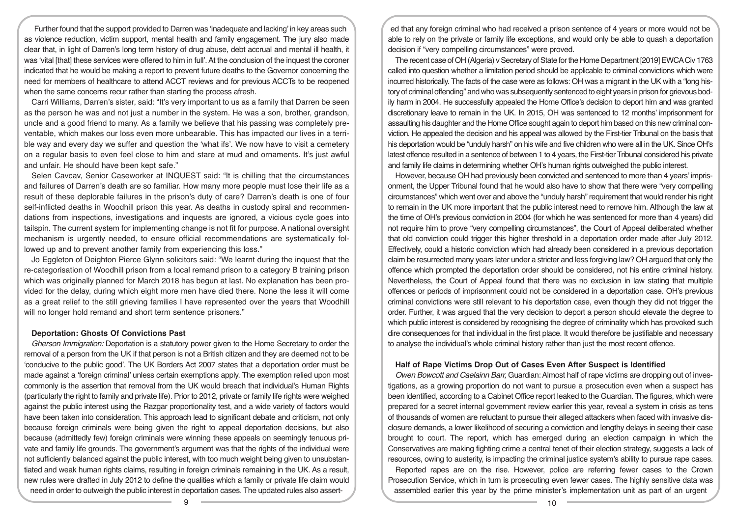Further found that the support provided to Darren was 'inadequate and lacking' in key areas such as violence reduction, victim support, mental health and family engagement. The jury also made clear that, in light of Darren's long term history of drug abuse, debt accrual and mental ill health, it was 'vital [that] these services were offered to him in full'. At the conclusion of the inquest the coroner indicated that he would be making a report to prevent future deaths to the Governor concerning the need for members of healthcare to attend ACCT reviews and for previous ACCTs to be reopened when the same concerns recur rather than starting the process afresh.

Carri Williams, Darren's sister, said: "It's very important to us as a family that Darren be seen as the person he was and not just a number in the system. He was a son, brother, grandson, uncle and a good friend to many. As a family we believe that his passing was completely preventable, which makes our loss even more unbearable. This has impacted our lives in a terrible way and every day we suffer and question the 'what ifs'. We now have to visit a cemetery on a regular basis to even feel close to him and stare at mud and ornaments. It's just awful and unfair. He should have been kept safe."

Selen Cavcav, Senior Caseworker at INQUEST said: "It is chilling that the circumstances and failures of Darren's death are so familiar. How many more people must lose their life as a result of these deplorable failures in the prison's duty of care? Darren's death is one of four self-inflicted deaths in Woodhill prison this year. As deaths in custody spiral and recommendations from inspections, investigations and inquests are ignored, a vicious cycle goes into tailspin. The current system for implementing change is not fit for purpose. A national oversight mechanism is urgently needed, to ensure official recommendations are systematically followed up and to prevent another family from experiencing this loss."

Jo Eggleton of Deighton Pierce Glynn solicitors said: "We learnt during the inquest that the re-categorisation of Woodhill prison from a local remand prison to a category B training prison which was originally planned for March 2018 has begun at last. No explanation has been provided for the delay, during which eight more men have died there. None the less it will come as a great relief to the still grieving families I have represented over the years that Woodhill will no longer hold remand and short term sentence prisoners."

# **Deportation: Ghosts Of Convictions Past**

Gherson Immigration: Deportation is a statutory power given to the Home Secretary to order the removal of a person from the UK if that person is not a British citizen and they are deemed not to be 'conducive to the public good'. The UK Borders Act 2007 states that a deportation order must be made against a 'foreign criminal' unless certain exemptions apply. The exemption relied upon most commonly is the assertion that removal from the UK would breach that individual's Human Rights (particularly the right to family and private life). Prior to 2012, private or family life rights were weighed against the public interest using the Razgar proportionality test, and a wide variety of factors would have been taken into consideration. This approach lead to significant debate and criticism, not only because foreign criminals were being given the right to appeal deportation decisions, but also because (admittedly few) foreign criminals were winning these appeals on seemingly tenuous private and family life grounds. The government's argument was that the rights of the individual were not sufficiently balanced against the public interest, with too much weight being given to unsubstantiated and weak human rights claims, resulting in foreign criminals remaining in the UK. As a result, new rules were drafted in July 2012 to define the qualities which a family or private life claim would need in order to outweigh the public interest in deportation cases. The updated rules also assert-

ed that any foreign criminal who had received a prison sentence of 4 years or more would not be able to rely on the private or family life exceptions, and would only be able to quash a deportation decision if "very compelling circumstances" were proved.

The recent case of OH (Algeria) v Secretary of State for the Home Department [2019] EWCA Civ 1763 called into question whether a limitation period should be applicable to criminal convictions which were incurred historically. The facts of the case were as follows: OH was a migrant in the UK with a "long history of criminal offending" and who was subsequently sentenced to eight years in prison for grievous bodily harm in 2004. He successfully appealed the Home Office's decision to deport him and was granted discretionary leave to remain in the UK. In 2015, OH was sentenced to 12 months' imprisonment for assaulting his daughter and the Home Office sought again to deport him based on this new criminal conviction. He appealed the decision and his appeal was allowed by the First-tier Tribunal on the basis that his deportation would be "unduly harsh" on his wife and five children who were all in the UK. Since OH's latest offence resulted in a sentence of between 1 to 4 years, the First-tier Tribunal considered his private and family life claims in determining whether OH's human rights outweighed the public interest.

However, because OH had previously been convicted and sentenced to more than 4 years' imprisonment, the Upper Tribunal found that he would also have to show that there were "very compelling circumstances" which went over and above the "unduly harsh" requirement that would render his right to remain in the UK more important that the public interest need to remove him. Although the law at the time of OH's previous conviction in 2004 (for which he was sentenced for more than 4 years) did not require him to prove "very compelling circumstances", the Court of Appeal deliberated whether that old conviction could trigger this higher threshold in a deportation order made after July 2012. Effectively, could a historic conviction which had already been considered in a previous deportation claim be resurrected many years later under a stricter and less forgiving law? OH argued that only the offence which prompted the deportation order should be considered, not his entire criminal history. Nevertheless, the Court of Appeal found that there was no exclusion in law stating that multiple offences or periods of imprisonment could not be considered in a deportation case. OH's previous criminal convictions were still relevant to his deportation case, even though they did not trigger the order. Further, it was argued that the very decision to deport a person should elevate the degree to which public interest is considered by recognising the degree of criminality which has provoked such dire consequences for that individual in the first place. It would therefore be justifiable and necessary to analyse the individual's whole criminal history rather than just the most recent offence.

#### **Half of Rape Victims Drop Out of Cases Even After Suspect is Identified**

Owen Bowcott and Caelainn Barr, Guardian: Almost half of rape victims are dropping out of investigations, as a growing proportion do not want to pursue a prosecution even when a suspect has been identified, according to a Cabinet Office report leaked to the Guardian. The figures, which were prepared for a secret internal government review earlier this year, reveal a system in crisis as tens of thousands of women are reluctant to pursue their alleged attackers when faced with invasive disclosure demands, a lower likelihood of securing a conviction and lengthy delays in seeing their case brought to court. The report, which has emerged during an election campaign in which the Conservatives are making fighting crime a central tenet of their election strategy, suggests a lack of resources, owing to austerity, is impacting the criminal justice system's ability to pursue rape cases.

Reported rapes are on the rise. However, police are referring fewer cases to the Crown Prosecution Service, which in turn is prosecuting even fewer cases. The highly sensitive data was assembled earlier this year by the prime minister's implementation unit as part of an urgent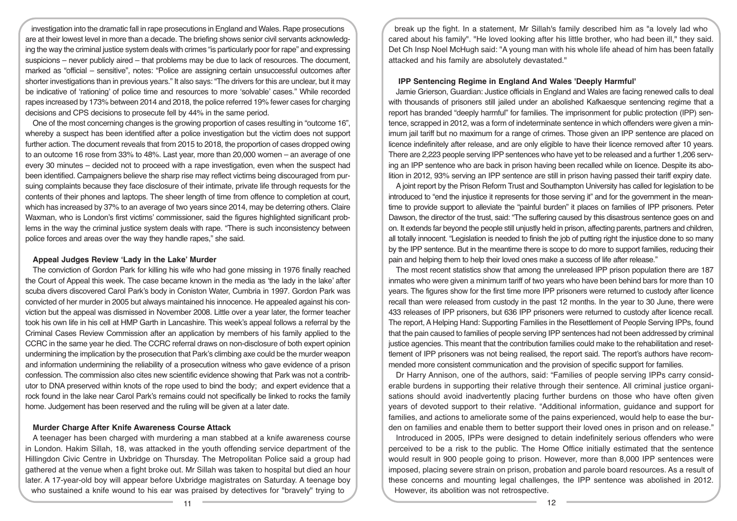investigation into the dramatic fall in rape prosecutions in England and Wales. Rape prosecutions are at their lowest level in more than a decade. The briefing shows senior civil servants acknowledging the way the criminal justice system deals with crimes "is particularly poor for rape" and expressing suspicions – never publicly aired – that problems may be due to lack of resources. The document, marked as "official – sensitive", notes: "Police are assigning certain unsuccessful outcomes after shorter investigations than in previous years." It also says: "The drivers for this are unclear, but it may be indicative of 'rationing' of police time and resources to more 'solvable' cases." While recorded rapes increased by 173% between 2014 and 2018, the police referred 19% fewer cases for charging decisions and CPS decisions to prosecute fell by 44% in the same period.

One of the most concerning changes is the growing proportion of cases resulting in "outcome 16", whereby a suspect has been identified after a police investigation but the victim does not support further action. The document reveals that from 2015 to 2018, the proportion of cases dropped owing to an outcome 16 rose from 33% to 48%. Last year, more than 20,000 women – an average of one every 30 minutes – decided not to proceed with a rape investigation, even when the suspect had been identified. Campaigners believe the sharp rise may reflect victims being discouraged from pursuing complaints because they face disclosure of their intimate, private life through requests for the contents of their phones and laptops. The sheer length of time from offence to completion at court, which has increased by 37% to an average of two years since 2014, may be deterring others. Claire Waxman, who is London's first victims' commissioner, said the figures highlighted significant problems in the way the criminal justice system deals with rape. "There is such inconsistency between police forces and areas over the way they handle rapes," she said.

#### **Appeal Judges Review 'Lady in the Lake' Murder**

The conviction of Gordon Park for killing his wife who had gone missing in 1976 finally reached the Court of Appeal this week. The case became known in the media as 'the lady in the lake' after scuba divers discovered Carol Park's body in Coniston Water, Cumbria in 1997. Gordon Park was convicted of her murder in 2005 but always maintained his innocence. He appealed against his conviction but the appeal was dismissed in November 2008. Little over a year later, the former teacher took his own life in his cell at HMP Garth in Lancashire. This week's appeal follows a referral by the Criminal Cases Review Commission after an application by members of his family applied to the CCRC in the same year he died. The CCRC referral draws on non-disclosure of both expert opinion undermining the implication by the prosecution that Park's climbing axe could be the murder weapon and information undermining the reliability of a prosecution witness who gave evidence of a prison confession. The commission also cites new scientific evidence showing that Park was not a contributor to DNA preserved within knots of the rope used to bind the body; and expert evidence that a rock found in the lake near Carol Park's remains could not specifically be linked to rocks the family home. Judgement has been reserved and the ruling will be given at a later date.

## **Murder Charge After Knife Awareness Course Attack**

A teenager has been charged with murdering a man stabbed at a knife awareness course in London. Hakim Sillah, 18, was attacked in the youth offending service department of the Hillingdon Civic Centre in Uxbridge on Thursday. The Metropolitan Police said a group had gathered at the venue when a fight broke out. Mr Sillah was taken to hospital but died an hour later. A 17-year-old boy will appear before Uxbridge magistrates on Saturday. A teenage boy who sustained a knife wound to his ear was praised by detectives for "bravely" trying to

break up the fight. In a statement, Mr Sillah's family described him as "a lovely lad who cared about his family". "He loved looking after his little brother, who had been ill," they said. Det Ch Insp Noel McHugh said: "A young man with his whole life ahead of him has been fatally attacked and his family are absolutely devastated."

# **IPP Sentencing Regime in England And Wales 'Deeply Harmful'**

Jamie Grierson, Guardian: Justice officials in England and Wales are facing renewed calls to deal with thousands of prisoners still jailed under an abolished Kafkaesque sentencing regime that a report has branded "deeply harmful" for families. The imprisonment for public protection (IPP) sentence, scrapped in 2012, was a form of indeterminate sentence in which offenders were given a minimum jail tariff but no maximum for a range of crimes. Those given an IPP sentence are placed on licence indefinitely after release, and are only eligible to have their licence removed after 10 years. There are 2,223 people serving IPP sentences who have yet to be released and a further 1,206 serving an IPP sentence who are back in prison having been recalled while on licence. Despite its abolition in 2012, 93% serving an IPP sentence are still in prison having passed their tariff expiry date.

A joint report by the Prison Reform Trust and Southampton University has called for legislation to be introduced to "end the injustice it represents for those serving it" and for the government in the meantime to provide support to alleviate the "painful burden" it places on families of IPP prisoners. Peter Dawson, the director of the trust, said: "The suffering caused by this disastrous sentence goes on and on. It extends far beyond the people still unjustly held in prison, affecting parents, partners and children, all totally innocent. "Legislation is needed to finish the job of putting right the injustice done to so many by the IPP sentence. But in the meantime there is scope to do more to support families, reducing their pain and helping them to help their loved ones make a success of life after release."

The most recent statistics show that among the unreleased IPP prison population there are 187 inmates who were given a minimum tariff of two years who have been behind bars for more than 10 years. The figures show for the first time more IPP prisoners were returned to custody after licence recall than were released from custody in the past 12 months. In the year to 30 June, there were 433 releases of IPP prisoners, but 636 IPP prisoners were returned to custody after licence recall. The report, A Helping Hand: Supporting Families in the Resettlement of People Serving IPPs, found that the pain caused to families of people serving IPP sentences had not been addressed by criminal justice agencies. This meant that the contribution families could make to the rehabilitation and resettlement of IPP prisoners was not being realised, the report said. The report's authors have recommended more consistent communication and the provision of specific support for families.

Dr Harry Annison, one of the authors, said: "Families of people serving IPPs carry considerable burdens in supporting their relative through their sentence. All criminal justice organisations should avoid inadvertently placing further burdens on those who have often given years of devoted support to their relative. "Additional information, guidance and support for families, and actions to ameliorate some of the pains experienced, would help to ease the burden on families and enable them to better support their loved ones in prison and on release."

Introduced in 2005, IPPs were designed to detain indefinitely serious offenders who were perceived to be a risk to the public. The Home Office initially estimated that the sentence would result in 900 people going to prison. However, more than 8,000 IPP sentences were imposed, placing severe strain on prison, probation and parole board resources. As a result of these concerns and mounting legal challenges, the IPP sentence was abolished in 2012. However, its abolition was not retrospective.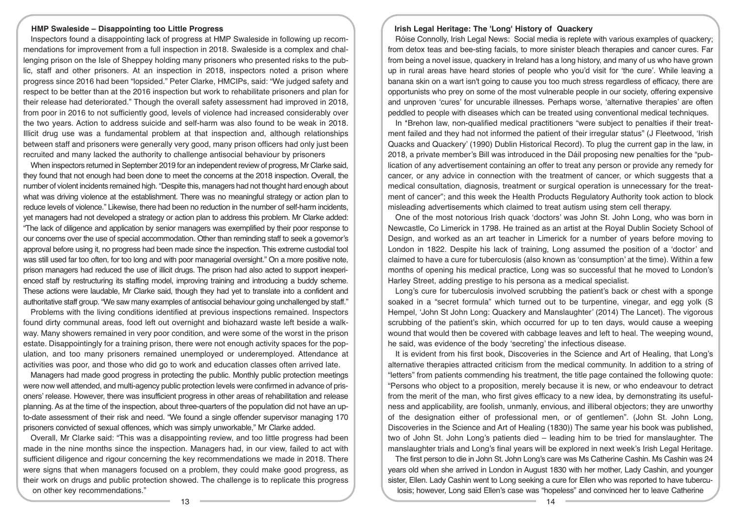## **HMP Swaleside – Disappointing too Little Progress**

Inspectors found a disappointing lack of progress at HMP Swaleside in following up recommendations for improvement from a full inspection in 2018. Swaleside is a complex and challenging prison on the Isle of Sheppey holding many prisoners who presented risks to the public, staff and other prisoners. At an inspection in 2018, inspectors noted a prison where progress since 2016 had been "lopsided." Peter Clarke, HMCIPs, said: "We judged safety and respect to be better than at the 2016 inspection but work to rehabilitate prisoners and plan for their release had deteriorated." Though the overall safety assessment had improved in 2018, from poor in 2016 to not sufficiently good, levels of violence had increased considerably over the two years. Action to address suicide and self-harm was also found to be weak in 2018. Illicit drug use was a fundamental problem at that inspection and, although relationships between staff and prisoners were generally very good, many prison officers had only just been recruited and many lacked the authority to challenge antisocial behaviour by prisoners

When inspectors returned in September 2019 for an independent review of progress, Mr Clarke said, they found that not enough had been done to meet the concerns at the 2018 inspection. Overall, the number of violent incidents remained high. "Despite this, managers had not thought hard enough about what was driving violence at the establishment. There was no meaningful strategy or action plan to reduce levels of violence." Likewise, there had been no reduction in the number of self-harm incidents, yet managers had not developed a strategy or action plan to address this problem. Mr Clarke added: "The lack of diligence and application by senior managers was exemplified by their poor response to our concerns over the use of special accommodation. Other than reminding staff to seek a governor's approval before using it, no progress had been made since the inspection. This extreme custodial tool was still used far too often, for too long and with poor managerial oversight." On a more positive note, prison managers had reduced the use of illicit drugs. The prison had also acted to support inexperienced staff by restructuring its staffing model, improving training and introducing a buddy scheme. These actions were laudable, Mr Clarke said, though they had yet to translate into a confident and authoritative staff group. "We saw many examples of antisocial behaviour going unchallenged by staff."

Problems with the living conditions identified at previous inspections remained. Inspectors found dirty communal areas, food left out overnight and biohazard waste left beside a walkway. Many showers remained in very poor condition, and were some of the worst in the prison estate. Disappointingly for a training prison, there were not enough activity spaces for the population, and too many prisoners remained unemployed or underemployed. Attendance at activities was poor, and those who did go to work and education classes often arrived late.

Managers had made good progress in protecting the public. Monthly public protection meetings were now well attended, and multi-agency public protection levels were confirmed in advance of prisoners' release. However, there was insufficient progress in other areas of rehabilitation and release planning. As at the time of the inspection, about three-quarters of the population did not have an upto-date assessment of their risk and need. "We found a single offender supervisor managing 170 prisoners convicted of sexual offences, which was simply unworkable," Mr Clarke added.

Overall, Mr Clarke said: "This was a disappointing review, and too little progress had been made in the nine months since the inspection. Managers had, in our view, failed to act with sufficient diligence and rigour concerning the key recommendations we made in 2018. There were signs that when managers focused on a problem, they could make good progress, as their work on drugs and public protection showed. The challenge is to replicate this progress on other key recommendations."

## **Irish Legal Heritage: The 'Long' History of Quackery**

Róise Connolly, Irish Legal News: Social media is replete with various examples of quackery; from detox teas and bee-sting facials, to more sinister bleach therapies and cancer cures. Far from being a novel issue, quackery in Ireland has a long history, and many of us who have grown up in rural areas have heard stories of people who you'd visit for 'the cure'. While leaving a banana skin on a wart isn't going to cause you too much stress regardless of efficacy, there are opportunists who prey on some of the most vulnerable people in our society, offering expensive and unproven 'cures' for uncurable illnesses. Perhaps worse, 'alternative therapies' are often peddled to people with diseases which can be treated using conventional medical techniques.

In \*Brehon law, non-qualified medical practitioners "were subject to penalties if their treatment failed and they had not informed the patient of their irregular status" (J Fleetwood, 'Irish Quacks and Quackery' (1990) Dublin Historical Record). To plug the current gap in the law, in 2018, a private member's Bill was introduced in the Dáil proposing new penalties for the "publication of any advertisement containing an offer to treat any person or provide any remedy for cancer, or any advice in connection with the treatment of cancer, or which suggests that a medical consultation, diagnosis, treatment or surgical operation is unnecessary for the treatment of cancer"; and this week the Health Products Regulatory Authority took action to block misleading advertisements which claimed to treat autism using stem cell therapy.

One of the most notorious Irish quack 'doctors' was John St. John Long, who was born in Newcastle, Co Limerick in 1798. He trained as an artist at the Royal Dublin Society School of Design, and worked as an art teacher in Limerick for a number of years before moving to London in 1822. Despite his lack of training, Long assumed the position of a 'doctor' and claimed to have a cure for tuberculosis (also known as 'consumption' at the time). Within a few months of opening his medical practice, Long was so successful that he moved to London's Harley Street, adding prestige to his persona as a medical specialist.

Long's cure for tuberculosis involved scrubbing the patient's back or chest with a sponge soaked in a "secret formula" which turned out to be turpentine, vinegar, and egg yolk (S Hempel, 'John St John Long: Quackery and Manslaughter' (2014) The Lancet). The vigorous scrubbing of the patient's skin, which occurred for up to ten days, would cause a weeping wound that would then be covered with cabbage leaves and left to heal. The weeping wound, he said, was evidence of the body 'secreting' the infectious disease.

It is evident from his first book, Discoveries in the Science and Art of Healing, that Long's alternative therapies attracted criticism from the medical community. In addition to a string of "letters" from patients commending his treatment, the title page contained the following quote: "Persons who object to a proposition, merely because it is new, or who endeavour to detract from the merit of the man, who first gives efficacy to a new idea, by demonstrating its usefulness and applicability, are foolish, unmanly, envious, and illiberal objectors; they are unworthy of the designation either of professional men, or of gentlemen". (John St. John Long, Discoveries in the Science and Art of Healing (1830)) The same year his book was published, two of John St. John Long's patients died – leading him to be tried for manslaughter. The manslaughter trials and Long's final years will be explored in next week's Irish Legal Heritage.

The first person to die in John St. John Long's care was Ms Catherine Cashin. Ms Cashin was 24 years old when she arrived in London in August 1830 with her mother, Lady Cashin, and younger sister, Ellen. Lady Cashin went to Long seeking a cure for Ellen who was reported to have tuberculosis; however, Long said Ellen's case was "hopeless" and convinced her to leave Catherine